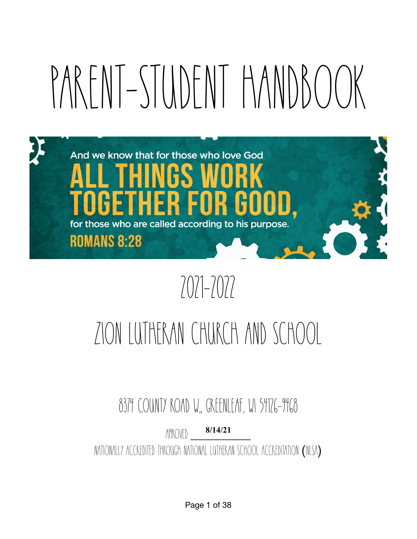# PARENT-STUDENT HANDBOOK



# 2021-2022

# Zion Lutheran Church and SchooL

8374 County Road W,, GREENLEAF, WI 54126-9468

APPROVED Nationally Accredited Through National Lutheran School Accreditation (NLSA) **8/14/21**

Page 1 of 38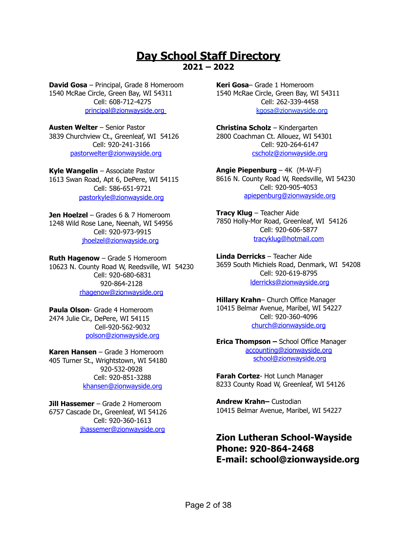# **Day School Staff Directory 2021 – 2022**

**David Gosa** – Principal, Grade 8 Homeroom 1540 McRae Circle, Green Bay, WI 54311 Cell: 608-712-4275 [principal@zionwayside.org](mailto:principal@zionwayside.org)

**Austen Welter** – Senior Pastor 3839 Churchview Ct., Greenleaf, WI 54126 Cell: 920-241-3166 [pastorwelter@zionwayside.org](mailto:pastorwelter@zionwayside.org)

**Kyle Wangelin** – Associate Pastor 1613 Swan Road, Apt 6, DePere, WI 54115 Cell: 586-651-9721 [pastorkyle@zionwayside.org](mailto:pastorkyle@zionwayside.org)

**Jen Hoelzel** – Grades 6 & 7 Homeroom 1248 Wild Rose Lane, Neenah, WI 54956 Cell: 920-973-9915 [jhoelzel@zionwayside.org](mailto:jhoelzel@zionwayside.org)

**Ruth Hagenow** – Grade 5 Homeroom 10623 N. County Road W, Reedsville, WI 54230 Cell: 920-680-6831 920-864-2128 [rhagenow@zionwayside.org](mailto:rhagenow@zionwayside.org)

**Paula Olson**- Grade 4 Homeroom 2474 Julie Cir., DePere, WI 54115 Cell-920-562-9032 [polson@zionwayside.org](mailto:olsonp11@gmail.com)

**Karen Hansen** – Grade 3 Homeroom 405 Turner St., Wrightstown, WI 54180 920-532-0928 Cell: 920-851-3288 [khansen@zionwayside.org](mailto:khansen@zionwayside.org)

**Jill Hassemer** – Grade 2 Homeroom 6757 Cascade Dr., Greenleaf, WI 54126 Cell: 920-360-1613 [jhassemer@zionwayside.org](mailto:jhassemer@zionwayside.org)

**Keri Gosa**– Grade 1 Homeroom 1540 McRae Circle, Green Bay, WI 54311 Cell: 262-339-4458 [kgosa@zionwayside.org](mailto:lderricks@zionwayside.org)

**Christina Scholz** – Kindergarten 2800 Coachman Ct. Allouez, WI 54301 Cell: 920-264-6147 [cscholz@zionwayside.org](mailto:cscholz@zionwayside.org)

**Angie Piepenburg** – 4K (M-W-F) 8616 N. County Road W, Reedsville, WI 54230 Cell: 920-905-4053 [apiepenburg@zionwayside.org](mailto:apiepenburg@zionwayside.org)

**Tracy Klug** – Teacher Aide 7850 Holly-Mor Road, Greenleaf, WI 54126 Cell: 920-606-5877 tracyklug@hotmail.com

**Linda Derricks** – Teacher Aide 3659 South Michiels Road, Denmark, WI 54208 Cell: 920-619-8795 [lderricks@zionwayside.org](mailto:jhassemer@zionwayside.org)

**Hillary Krahn**– Church Office Manager 10415 Belmar Avenue, Maribel, WI 54227 Cell: 920-360-4096 [church@zionwayside.org](mailto:accounting@zionwayside.org)

**Erica Thompson –** School Office Manager [accounting@zionwayside.org](mailto:accounting@zionwayside.org) [school@zionwayside.org](mailto:school@zionwayside.org)

**Farah Cortez**- Hot Lunch Manager 8233 County Road W, Greenleaf, WI 54126

**Andrew Krahn–** Custodian 10415 Belmar Avenue, Maribel, WI 54227

# **Zion Lutheran School-Wayside Phone: 920-864-2468 E-mail: school@zionwayside.org**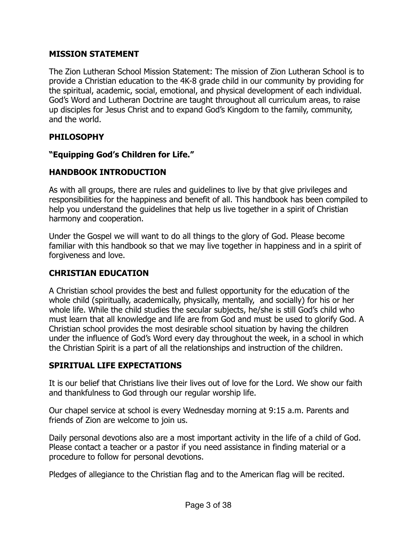# **MISSION STATEMENT**

The Zion Lutheran School Mission Statement: The mission of Zion Lutheran School is to provide a Christian education to the 4K-8 grade child in our community by providing for the spiritual, academic, social, emotional, and physical development of each individual. God's Word and Lutheran Doctrine are taught throughout all curriculum areas, to raise up disciples for Jesus Christ and to expand God's Kingdom to the family, community, and the world.

# **PHILOSOPHY**

# **"Equipping God's Children for Life."**

# **HANDBOOK INTRODUCTION**

As with all groups, there are rules and guidelines to live by that give privileges and responsibilities for the happiness and benefit of all. This handbook has been compiled to help you understand the guidelines that help us live together in a spirit of Christian harmony and cooperation.

Under the Gospel we will want to do all things to the glory of God. Please become familiar with this handbook so that we may live together in happiness and in a spirit of forgiveness and love.

# **CHRISTIAN EDUCATION**

A Christian school provides the best and fullest opportunity for the education of the whole child (spiritually, academically, physically, mentally, and socially) for his or her whole life. While the child studies the secular subjects, he/she is still God's child who must learn that all knowledge and life are from God and must be used to glorify God. A Christian school provides the most desirable school situation by having the children under the influence of God's Word every day throughout the week, in a school in which the Christian Spirit is a part of all the relationships and instruction of the children.

# **SPIRITUAL LIFE EXPECTATIONS**

It is our belief that Christians live their lives out of love for the Lord. We show our faith and thankfulness to God through our regular worship life.

Our chapel service at school is every Wednesday morning at 9:15 a.m. Parents and friends of Zion are welcome to join us.

Daily personal devotions also are a most important activity in the life of a child of God. Please contact a teacher or a pastor if you need assistance in finding material or a procedure to follow for personal devotions.

Pledges of allegiance to the Christian flag and to the American flag will be recited.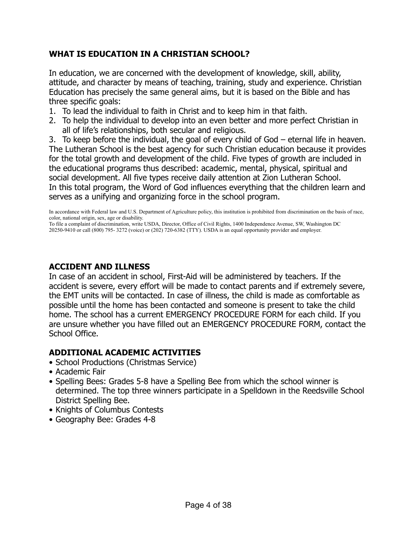# **WHAT IS EDUCATION IN A CHRISTIAN SCHOOL?**

In education, we are concerned with the development of knowledge, skill, ability, attitude, and character by means of teaching, training, study and experience. Christian Education has precisely the same general aims, but it is based on the Bible and has three specific goals:

- 1. To lead the individual to faith in Christ and to keep him in that faith.
- 2. To help the individual to develop into an even better and more perfect Christian in all of life's relationships, both secular and religious.

3. To keep before the individual, the goal of every child of God – eternal life in heaven. The Lutheran School is the best agency for such Christian education because it provides for the total growth and development of the child. Five types of growth are included in the educational programs thus described: academic, mental, physical, spiritual and social development. All five types receive daily attention at Zion Lutheran School. In this total program, the Word of God influences everything that the children learn and serves as a unifying and organizing force in the school program.

In accordance with Federal law and U.S. Department of Agriculture policy, this institution is prohibited from discrimination on the basis of race, color, national origin, sex, age or disability.

To file a complaint of discrimination, write USDA, Director, Office of Civil Rights, 1400 Independence Avenue, SW, Washington DC 20250-9410 or call (800) 795- 3272 (voice) or (202) 720-6382 (TTY). USDA is an equal opportunity provider and employer.

# **ACCIDENT AND ILLNESS**

In case of an accident in school, First-Aid will be administered by teachers. If the accident is severe, every effort will be made to contact parents and if extremely severe, the EMT units will be contacted. In case of illness, the child is made as comfortable as possible until the home has been contacted and someone is present to take the child home. The school has a current EMERGENCY PROCEDURE FORM for each child. If you are unsure whether you have filled out an EMERGENCY PROCEDURE FORM, contact the School Office.

# **ADDITIONAL ACADEMIC ACTIVITIES**

- School Productions (Christmas Service)
- Academic Fair
- Spelling Bees: Grades 5-8 have a Spelling Bee from which the school winner is determined. The top three winners participate in a Spelldown in the Reedsville School District Spelling Bee.
- Knights of Columbus Contests
- Geography Bee: Grades 4-8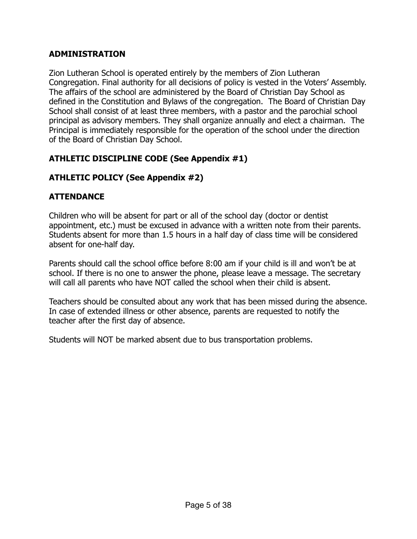# **ADMINISTRATION**

Zion Lutheran School is operated entirely by the members of Zion Lutheran Congregation. Final authority for all decisions of policy is vested in the Voters' Assembly. The affairs of the school are administered by the Board of Christian Day School as defined in the Constitution and Bylaws of the congregation. The Board of Christian Day School shall consist of at least three members, with a pastor and the parochial school principal as advisory members. They shall organize annually and elect a chairman. The Principal is immediately responsible for the operation of the school under the direction of the Board of Christian Day School.

# **ATHLETIC DISCIPLINE CODE (See Appendix #1)**

# **ATHLETIC POLICY (See Appendix #2)**

# **ATTENDANCE**

Children who will be absent for part or all of the school day (doctor or dentist appointment, etc.) must be excused in advance with a written note from their parents. Students absent for more than 1.5 hours in a half day of class time will be considered absent for one-half day.

Parents should call the school office before 8:00 am if your child is ill and won't be at school. If there is no one to answer the phone, please leave a message. The secretary will call all parents who have NOT called the school when their child is absent.

Teachers should be consulted about any work that has been missed during the absence. In case of extended illness or other absence, parents are requested to notify the teacher after the first day of absence.

Students will NOT be marked absent due to bus transportation problems.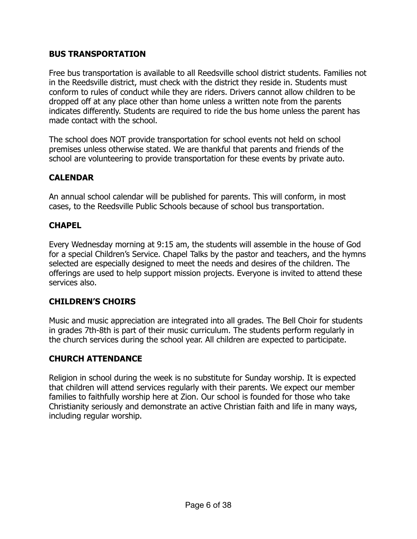# **BUS TRANSPORTATION**

Free bus transportation is available to all Reedsville school district students. Families not in the Reedsville district, must check with the district they reside in. Students must conform to rules of conduct while they are riders. Drivers cannot allow children to be dropped off at any place other than home unless a written note from the parents indicates differently. Students are required to ride the bus home unless the parent has made contact with the school.

The school does NOT provide transportation for school events not held on school premises unless otherwise stated. We are thankful that parents and friends of the school are volunteering to provide transportation for these events by private auto.

# **CALENDAR**

An annual school calendar will be published for parents. This will conform, in most cases, to the Reedsville Public Schools because of school bus transportation.

# **CHAPEL**

Every Wednesday morning at 9:15 am, the students will assemble in the house of God for a special Children's Service. Chapel Talks by the pastor and teachers, and the hymns selected are especially designed to meet the needs and desires of the children. The offerings are used to help support mission projects. Everyone is invited to attend these services also.

# **CHILDREN'S CHOIRS**

Music and music appreciation are integrated into all grades. The Bell Choir for students in grades 7th-8th is part of their music curriculum. The students perform regularly in the church services during the school year. All children are expected to participate.

# **CHURCH ATTENDANCE**

Religion in school during the week is no substitute for Sunday worship. It is expected that children will attend services regularly with their parents. We expect our member families to faithfully worship here at Zion. Our school is founded for those who take Christianity seriously and demonstrate an active Christian faith and life in many ways, including regular worship.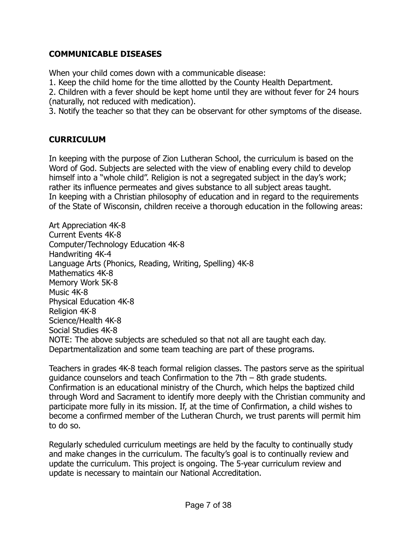# **COMMUNICABLE DISEASES**

When your child comes down with a communicable disease:

1. Keep the child home for the time allotted by the County Health Department.

2. Children with a fever should be kept home until they are without fever for 24 hours (naturally, not reduced with medication).

3. Notify the teacher so that they can be observant for other symptoms of the disease.

# **CURRICULUM**

In keeping with the purpose of Zion Lutheran School, the curriculum is based on the Word of God. Subjects are selected with the view of enabling every child to develop himself into a "whole child". Religion is not a segregated subject in the day's work; rather its influence permeates and gives substance to all subject areas taught. In keeping with a Christian philosophy of education and in regard to the requirements of the State of Wisconsin, children receive a thorough education in the following areas:

Art Appreciation 4K-8 Current Events 4K-8 Computer/Technology Education 4K-8 Handwriting 4K-4 Language Arts (Phonics, Reading, Writing, Spelling) 4K-8 Mathematics 4K-8 Memory Work 5K-8 Music 4K-8 Physical Education 4K-8 Religion 4K-8 Science/Health 4K-8 Social Studies 4K-8 NOTE: The above subjects are scheduled so that not all are taught each day. Departmentalization and some team teaching are part of these programs.

Teachers in grades 4K-8 teach formal religion classes. The pastors serve as the spiritual guidance counselors and teach Confirmation to the 7th – 8th grade students. Confirmation is an educational ministry of the Church, which helps the baptized child through Word and Sacrament to identify more deeply with the Christian community and participate more fully in its mission. If, at the time of Confirmation, a child wishes to become a confirmed member of the Lutheran Church, we trust parents will permit him to do so.

Regularly scheduled curriculum meetings are held by the faculty to continually study and make changes in the curriculum. The faculty's goal is to continually review and update the curriculum. This project is ongoing. The 5-year curriculum review and update is necessary to maintain our National Accreditation.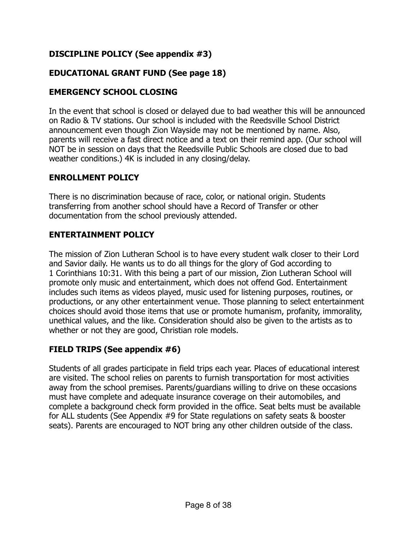# **DISCIPLINE POLICY (See appendix #3)**

# **EDUCATIONAL GRANT FUND (See page 18)**

# **EMERGENCY SCHOOL CLOSING**

In the event that school is closed or delayed due to bad weather this will be announced on Radio & TV stations. Our school is included with the Reedsville School District announcement even though Zion Wayside may not be mentioned by name. Also, parents will receive a fast direct notice and a text on their remind app. (Our school will NOT be in session on days that the Reedsville Public Schools are closed due to bad weather conditions.) 4K is included in any closing/delay.

# **ENROLLMENT POLICY**

There is no discrimination because of race, color, or national origin. Students transferring from another school should have a Record of Transfer or other documentation from the school previously attended.

# **ENTERTAINMENT POLICY**

The mission of Zion Lutheran School is to have every student walk closer to their Lord and Savior daily. He wants us to do all things for the glory of God according to 1 Corinthians 10:31. With this being a part of our mission, Zion Lutheran School will promote only music and entertainment, which does not offend God. Entertainment includes such items as videos played, music used for listening purposes, routines, or productions, or any other entertainment venue. Those planning to select entertainment choices should avoid those items that use or promote humanism, profanity, immorality, unethical values, and the like. Consideration should also be given to the artists as to whether or not they are good, Christian role models.

# **FIELD TRIPS (See appendix #6)**

Students of all grades participate in field trips each year. Places of educational interest are visited. The school relies on parents to furnish transportation for most activities away from the school premises. Parents/guardians willing to drive on these occasions must have complete and adequate insurance coverage on their automobiles, and complete a background check form provided in the office. Seat belts must be available for ALL students (See Appendix #9 for State regulations on safety seats & booster seats). Parents are encouraged to NOT bring any other children outside of the class.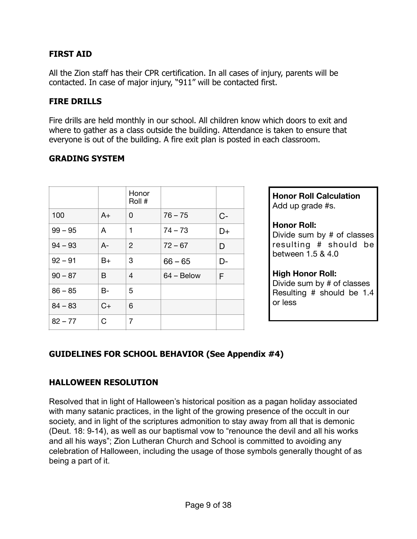# **FIRST AID**

All the Zion staff has their CPR certification. In all cases of injury, parents will be contacted. In case of major injury, "911" will be contacted first.

#### **FIRE DRILLS**

Fire drills are held monthly in our school. All children know which doors to exit and where to gather as a class outside the building. Attendance is taken to ensure that everyone is out of the building. A fire exit plan is posted in each classroom.

# **GRADING SYSTEM**

|           |       | Honor<br>Roll # |              |      |
|-----------|-------|-----------------|--------------|------|
| 100       | $A+$  | 0               | $76 - 75$    | $C-$ |
| $99 - 95$ | A     | 1               | $74 - 73$    | D+   |
| $94 - 93$ | $A-$  | $\overline{2}$  | $72 - 67$    | D    |
| $92 - 91$ | $B+$  | 3               | $66 - 65$    | D-   |
| $90 - 87$ | B     | 4               | $64 - Below$ | F    |
| $86 - 85$ | $B -$ | 5               |              |      |
| $84 - 83$ | $C+$  | 6               |              |      |
| $82 - 77$ | C     | 7               |              |      |

**Honor Roll Calculation**  Add up grade #s.

#### **Honor Roll:**

Divide sum by # of classes resulting # should be between 1.5 & 4.0

#### **High Honor Roll:**

Divide sum by # of classes Resulting # should be 1.4 or less

# **GUIDELINES FOR SCHOOL BEHAVIOR (See Appendix #4)**

# **HALLOWEEN RESOLUTION**

Resolved that in light of Halloween's historical position as a pagan holiday associated with many satanic practices, in the light of the growing presence of the occult in our society, and in light of the scriptures admonition to stay away from all that is demonic (Deut. 18: 9-14), as well as our baptismal vow to "renounce the devil and all his works and all his ways"; Zion Lutheran Church and School is committed to avoiding any celebration of Halloween, including the usage of those symbols generally thought of as being a part of it.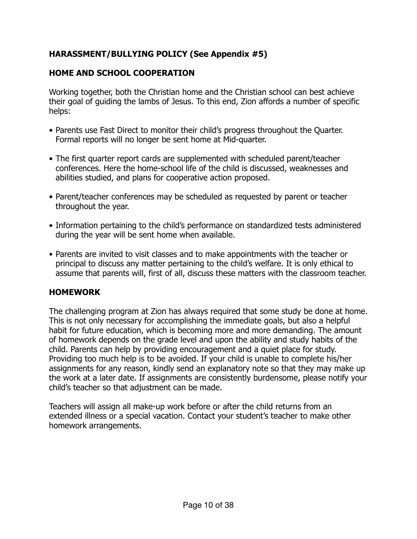# **HARASSMENT/BULLYING POLICY (See Appendix #5)**

# **HOME AND SCHOOL COOPERATION**

Working together, both the Christian home and the Christian school can best achieve their goal of guiding the lambs of Jesus. To this end, Zion affords a number of specific helps:

- Parents use Fast Direct to monitor their child's progress throughout the Quarter. Formal reports will no longer be sent home at Mid-quarter.
- The first quarter report cards are supplemented with scheduled parent/teacher conferences. Here the home-school life of the child is discussed, weaknesses and abilities studied, and plans for cooperative action proposed.
- Parent/teacher conferences may be scheduled as requested by parent or teacher throughout the year.
- Information pertaining to the child's performance on standardized tests administered during the year will be sent home when available.
- Parents are invited to visit classes and to make appointments with the teacher or principal to discuss any matter pertaining to the child's welfare. It is only ethical to assume that parents will, first of all, discuss these matters with the classroom teacher.

# **HOMEWORK**

The challenging program at Zion has always required that some study be done at home. This is not only necessary for accomplishing the immediate goals, but also a helpful habit for future education, which is becoming more and more demanding. The amount of homework depends on the grade level and upon the ability and study habits of the child. Parents can help by providing encouragement and a quiet place for study. Providing too much help is to be avoided. If your child is unable to complete his/her assignments for any reason, kindly send an explanatory note so that they may make up the work at a later date. If assignments are consistently burdensome, please notify your child's teacher so that adjustment can be made.

Teachers will assign all make-up work before or after the child returns from an extended illness or a special vacation. Contact your student's teacher to make other homework arrangements.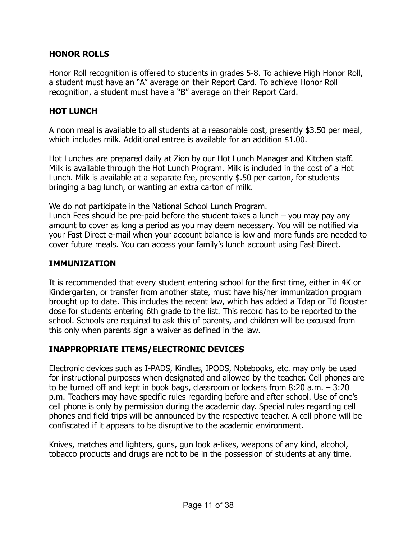# **HONOR ROLLS**

Honor Roll recognition is offered to students in grades 5-8. To achieve High Honor Roll, a student must have an "A" average on their Report Card. To achieve Honor Roll recognition, a student must have a "B" average on their Report Card.

# **HOT LUNCH**

A noon meal is available to all students at a reasonable cost, presently \$3.50 per meal, which includes milk. Additional entree is available for an addition \$1.00.

Hot Lunches are prepared daily at Zion by our Hot Lunch Manager and Kitchen staff. Milk is available through the Hot Lunch Program. Milk is included in the cost of a Hot Lunch. Milk is available at a separate fee, presently \$.50 per carton, for students bringing a bag lunch, or wanting an extra carton of milk.

We do not participate in the National School Lunch Program.

Lunch Fees should be pre-paid before the student takes a lunch – you may pay any amount to cover as long a period as you may deem necessary. You will be notified via your Fast Direct e-mail when your account balance is low and more funds are needed to cover future meals. You can access your family's lunch account using Fast Direct.

# **IMMUNIZATION**

It is recommended that every student entering school for the first time, either in 4K or Kindergarten, or transfer from another state, must have his/her immunization program brought up to date. This includes the recent law, which has added a Tdap or Td Booster dose for students entering 6th grade to the list. This record has to be reported to the school. Schools are required to ask this of parents, and children will be excused from this only when parents sign a waiver as defined in the law.

# **INAPPROPRIATE ITEMS/ELECTRONIC DEVICES**

Electronic devices such as I-PADS, Kindles, IPODS, Notebooks, etc. may only be used for instructional purposes when designated and allowed by the teacher. Cell phones are to be turned off and kept in book bags, classroom or lockers from 8:20 a.m. – 3:20 p.m. Teachers may have specific rules regarding before and after school. Use of one's cell phone is only by permission during the academic day. Special rules regarding cell phones and field trips will be announced by the respective teacher. A cell phone will be confiscated if it appears to be disruptive to the academic environment.

Knives, matches and lighters, guns, gun look a-likes, weapons of any kind, alcohol, tobacco products and drugs are not to be in the possession of students at any time.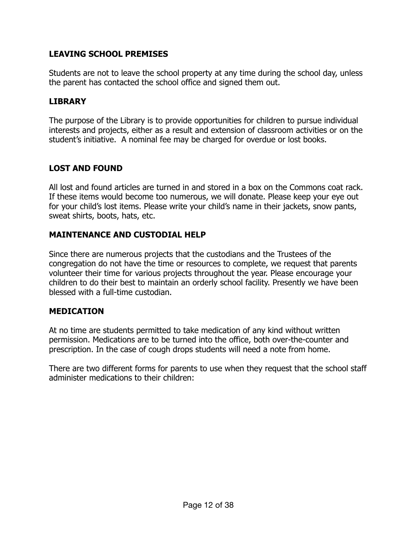# **LEAVING SCHOOL PREMISES**

Students are not to leave the school property at any time during the school day, unless the parent has contacted the school office and signed them out.

# **LIBRARY**

The purpose of the Library is to provide opportunities for children to pursue individual interests and projects, either as a result and extension of classroom activities or on the student's initiative. A nominal fee may be charged for overdue or lost books.

# **LOST AND FOUND**

All lost and found articles are turned in and stored in a box on the Commons coat rack. If these items would become too numerous, we will donate. Please keep your eye out for your child's lost items. Please write your child's name in their jackets, snow pants, sweat shirts, boots, hats, etc.

# **MAINTENANCE AND CUSTODIAL HELP**

Since there are numerous projects that the custodians and the Trustees of the congregation do not have the time or resources to complete, we request that parents volunteer their time for various projects throughout the year. Please encourage your children to do their best to maintain an orderly school facility. Presently we have been blessed with a full-time custodian.

# **MEDICATION**

At no time are students permitted to take medication of any kind without written permission. Medications are to be turned into the office, both over-the-counter and prescription. In the case of cough drops students will need a note from home.

There are two different forms for parents to use when they request that the school staff administer medications to their children: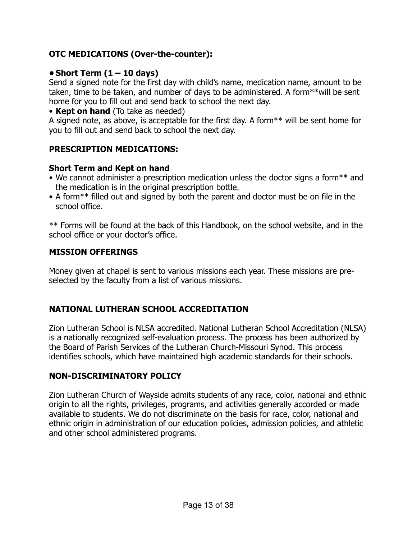# **OTC MEDICATIONS (Over-the-counter):**

# **• Short Term (1 – 10 days)**

Send a signed note for the first day with child's name, medication name, amount to be taken, time to be taken, and number of days to be administered. A form\*\*will be sent home for you to fill out and send back to school the next day.

# • **Kept on hand** (To take as needed)

A signed note, as above, is acceptable for the first day. A form\*\* will be sent home for you to fill out and send back to school the next day.

# **PRESCRIPTION MEDICATIONS:**

# **Short Term and Kept on hand**

- We cannot administer a prescription medication unless the doctor signs a form\*\* and the medication is in the original prescription bottle.
- A form\*\* filled out and signed by both the parent and doctor must be on file in the school office.

\*\* Forms will be found at the back of this Handbook, on the school website, and in the school office or your doctor's office.

# **MISSION OFFERINGS**

Money given at chapel is sent to various missions each year. These missions are preselected by the faculty from a list of various missions.

# **NATIONAL LUTHERAN SCHOOL ACCREDITATION**

Zion Lutheran School is NLSA accredited. National Lutheran School Accreditation (NLSA) is a nationally recognized self-evaluation process. The process has been authorized by the Board of Parish Services of the Lutheran Church-Missouri Synod. This process identifies schools, which have maintained high academic standards for their schools.

# **NON-DISCRIMINATORY POLICY**

Zion Lutheran Church of Wayside admits students of any race, color, national and ethnic origin to all the rights, privileges, programs, and activities generally accorded or made available to students. We do not discriminate on the basis for race, color, national and ethnic origin in administration of our education policies, admission policies, and athletic and other school administered programs.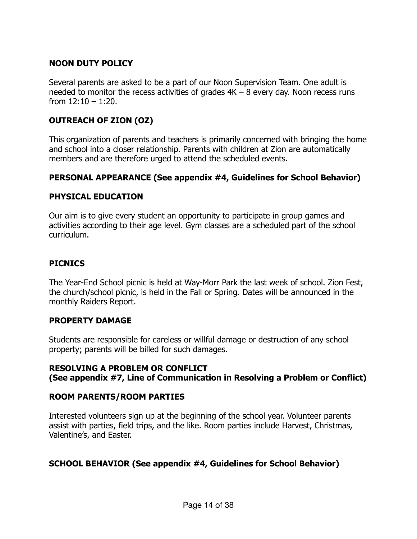# **NOON DUTY POLICY**

Several parents are asked to be a part of our Noon Supervision Team. One adult is needed to monitor the recess activities of grades  $4K - 8$  every day. Noon recess runs from  $12:10 - 1:20$ .

# **OUTREACH OF ZION (OZ)**

This organization of parents and teachers is primarily concerned with bringing the home and school into a closer relationship. Parents with children at Zion are automatically members and are therefore urged to attend the scheduled events.

# **PERSONAL APPEARANCE (See appendix #4, Guidelines for School Behavior)**

# **PHYSICAL EDUCATION**

Our aim is to give every student an opportunity to participate in group games and activities according to their age level. Gym classes are a scheduled part of the school curriculum.

# **PICNICS**

The Year-End School picnic is held at Way-Morr Park the last week of school. Zion Fest, the church/school picnic, is held in the Fall or Spring. Dates will be announced in the monthly Raiders Report.

# **PROPERTY DAMAGE**

Students are responsible for careless or willful damage or destruction of any school property; parents will be billed for such damages.

# **RESOLVING A PROBLEM OR CONFLICT (See appendix #7, Line of Communication in Resolving a Problem or Conflict)**

# **ROOM PARENTS/ROOM PARTIES**

Interested volunteers sign up at the beginning of the school year. Volunteer parents assist with parties, field trips, and the like. Room parties include Harvest, Christmas, Valentine's, and Easter.

# **SCHOOL BEHAVIOR (See appendix #4, Guidelines for School Behavior)**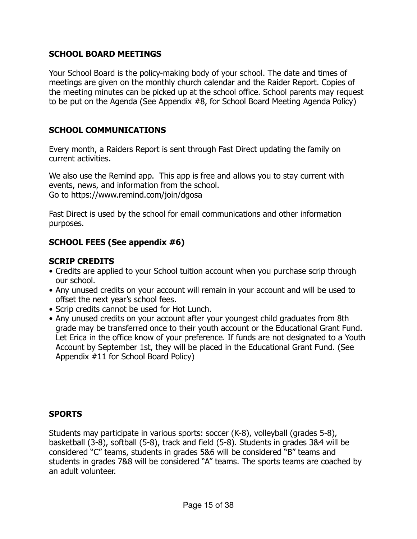# **SCHOOL BOARD MEETINGS**

Your School Board is the policy-making body of your school. The date and times of meetings are given on the monthly church calendar and the Raider Report. Copies of the meeting minutes can be picked up at the school office. School parents may request to be put on the Agenda (See Appendix #8, for School Board Meeting Agenda Policy)

# **SCHOOL COMMUNICATIONS**

Every month, a Raiders Report is sent through Fast Direct updating the family on current activities.

We also use the Remind app. This app is free and allows you to stay current with events, news, and information from the school. Go to https://www.remind.com/join/dgosa

Fast Direct is used by the school for email communications and other information purposes.

# **SCHOOL FEES (See appendix #6)**

# **SCRIP CREDITS**

- Credits are applied to your School tuition account when you purchase scrip through our school.
- Any unused credits on your account will remain in your account and will be used to offset the next year's school fees.
- Scrip credits cannot be used for Hot Lunch.
- Any unused credits on your account after your youngest child graduates from 8th grade may be transferred once to their youth account or the Educational Grant Fund. Let Erica in the office know of your preference. If funds are not designated to a Youth Account by September 1st, they will be placed in the Educational Grant Fund. (See Appendix #11 for School Board Policy)

# **SPORTS**

Students may participate in various sports: soccer (K-8), volleyball (grades 5-8), basketball (3-8), softball (5-8), track and field (5-8). Students in grades 3&4 will be considered "C" teams, students in grades 5&6 will be considered "B" teams and students in grades 7&8 will be considered "A" teams. The sports teams are coached by an adult volunteer.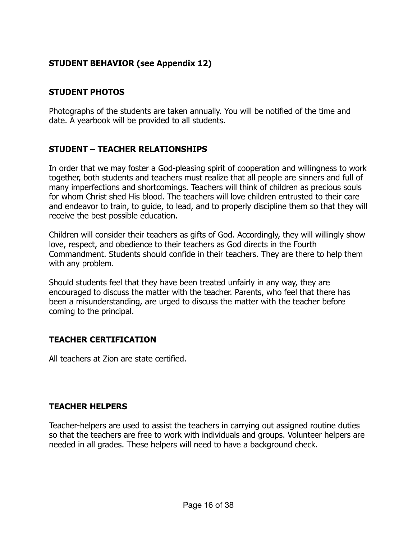# **STUDENT BEHAVIOR (see Appendix 12)**

# **STUDENT PHOTOS**

Photographs of the students are taken annually. You will be notified of the time and date. A yearbook will be provided to all students.

# **STUDENT – TEACHER RELATIONSHIPS**

In order that we may foster a God-pleasing spirit of cooperation and willingness to work together, both students and teachers must realize that all people are sinners and full of many imperfections and shortcomings. Teachers will think of children as precious souls for whom Christ shed His blood. The teachers will love children entrusted to their care and endeavor to train, to guide, to lead, and to properly discipline them so that they will receive the best possible education.

Children will consider their teachers as gifts of God. Accordingly, they will willingly show love, respect, and obedience to their teachers as God directs in the Fourth Commandment. Students should confide in their teachers. They are there to help them with any problem.

Should students feel that they have been treated unfairly in any way, they are encouraged to discuss the matter with the teacher. Parents, who feel that there has been a misunderstanding, are urged to discuss the matter with the teacher before coming to the principal.

# **TEACHER CERTIFICATION**

All teachers at Zion are state certified.

# **TEACHER HELPERS**

Teacher-helpers are used to assist the teachers in carrying out assigned routine duties so that the teachers are free to work with individuals and groups. Volunteer helpers are needed in all grades. These helpers will need to have a background check.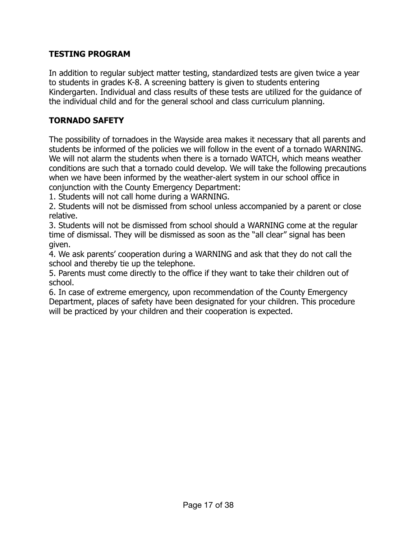# **TESTING PROGRAM**

In addition to regular subject matter testing, standardized tests are given twice a year to students in grades K-8. A screening battery is given to students entering Kindergarten. Individual and class results of these tests are utilized for the guidance of the individual child and for the general school and class curriculum planning.

# **TORNADO SAFETY**

The possibility of tornadoes in the Wayside area makes it necessary that all parents and students be informed of the policies we will follow in the event of a tornado WARNING. We will not alarm the students when there is a tornado WATCH, which means weather conditions are such that a tornado could develop. We will take the following precautions when we have been informed by the weather-alert system in our school office in conjunction with the County Emergency Department:

1. Students will not call home during a WARNING.

2. Students will not be dismissed from school unless accompanied by a parent or close relative.

3. Students will not be dismissed from school should a WARNING come at the regular time of dismissal. They will be dismissed as soon as the "all clear" signal has been given.

4. We ask parents' cooperation during a WARNING and ask that they do not call the school and thereby tie up the telephone.

5. Parents must come directly to the office if they want to take their children out of school.

6. In case of extreme emergency, upon recommendation of the County Emergency Department, places of safety have been designated for your children. This procedure will be practiced by your children and their cooperation is expected.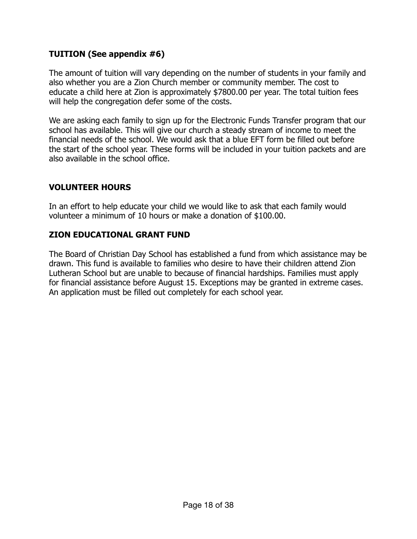# **TUITION (See appendix #6)**

The amount of tuition will vary depending on the number of students in your family and also whether you are a Zion Church member or community member. The cost to educate a child here at Zion is approximately \$7800.00 per year. The total tuition fees will help the congregation defer some of the costs.

We are asking each family to sign up for the Electronic Funds Transfer program that our school has available. This will give our church a steady stream of income to meet the financial needs of the school. We would ask that a blue EFT form be filled out before the start of the school year. These forms will be included in your tuition packets and are also available in the school office.

# **VOLUNTEER HOURS**

In an effort to help educate your child we would like to ask that each family would volunteer a minimum of 10 hours or make a donation of \$100.00.

# **ZION EDUCATIONAL GRANT FUND**

The Board of Christian Day School has established a fund from which assistance may be drawn. This fund is available to families who desire to have their children attend Zion Lutheran School but are unable to because of financial hardships. Families must apply for financial assistance before August 15. Exceptions may be granted in extreme cases. An application must be filled out completely for each school year.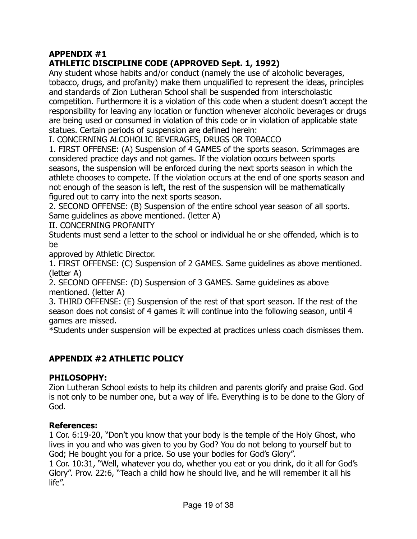# **APPENDIX #1**

# **ATHLETIC DISCIPLINE CODE (APPROVED Sept. 1, 1992)**

Any student whose habits and/or conduct (namely the use of alcoholic beverages, tobacco, drugs, and profanity) make them unqualified to represent the ideas, principles and standards of Zion Lutheran School shall be suspended from interscholastic competition. Furthermore it is a violation of this code when a student doesn't accept the responsibility for leaving any location or function whenever alcoholic beverages or drugs are being used or consumed in violation of this code or in violation of applicable state statues. Certain periods of suspension are defined herein:

I. CONCERNING ALCOHOLIC BEVERAGES, DRUGS OR TOBACCO

1. FIRST OFFENSE: (A) Suspension of 4 GAMES of the sports season. Scrimmages are considered practice days and not games. If the violation occurs between sports seasons, the suspension will be enforced during the next sports season in which the athlete chooses to compete. If the violation occurs at the end of one sports season and not enough of the season is left, the rest of the suspension will be mathematically figured out to carry into the next sports season.

2. SECOND OFFENSE: (B) Suspension of the entire school year season of all sports. Same guidelines as above mentioned. (letter A)

II. CONCERNING PROFANITY

Students must send a letter to the school or individual he or she offended, which is to be

approved by Athletic Director.

1. FIRST OFFENSE: (C) Suspension of 2 GAMES. Same guidelines as above mentioned. (letter A)

2. SECOND OFFENSE: (D) Suspension of 3 GAMES. Same guidelines as above mentioned. (letter A)

3. THIRD OFFENSE: (E) Suspension of the rest of that sport season. If the rest of the season does not consist of 4 games it will continue into the following season, until 4 games are missed.

\*Students under suspension will be expected at practices unless coach dismisses them.

# **APPENDIX #2 ATHLETIC POLICY**

# **PHILOSOPHY:**

Zion Lutheran School exists to help its children and parents glorify and praise God. God is not only to be number one, but a way of life. Everything is to be done to the Glory of God.

# **References:**

1 Cor. 6:19-20, "Don't you know that your body is the temple of the Holy Ghost, who lives in you and who was given to you by God? You do not belong to yourself but to God; He bought you for a price. So use your bodies for God's Glory".

1 Cor. 10:31, "Well, whatever you do, whether you eat or you drink, do it all for God's Glory". Prov. 22:6, "Teach a child how he should live, and he will remember it all his life".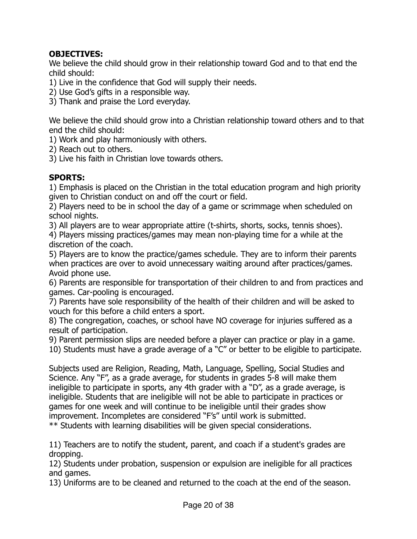# **OBJECTIVES:**

We believe the child should grow in their relationship toward God and to that end the child should:

- 1) Live in the confidence that God will supply their needs.
- 2) Use God's gifts in a responsible way.
- 3) Thank and praise the Lord everyday.

We believe the child should grow into a Christian relationship toward others and to that end the child should:

1) Work and play harmoniously with others.

2) Reach out to others.

3) Live his faith in Christian love towards others.

# **SPORTS:**

1) Emphasis is placed on the Christian in the total education program and high priority given to Christian conduct on and off the court or field.

2) Players need to be in school the day of a game or scrimmage when scheduled on school nights.

3) All players are to wear appropriate attire (t-shirts, shorts, socks, tennis shoes).

4) Players missing practices/games may mean non-playing time for a while at the discretion of the coach.

5) Players are to know the practice/games schedule. They are to inform their parents when practices are over to avoid unnecessary waiting around after practices/games. Avoid phone use.

6) Parents are responsible for transportation of their children to and from practices and games. Car-pooling is encouraged.

7) Parents have sole responsibility of the health of their children and will be asked to vouch for this before a child enters a sport.

8) The congregation, coaches, or school have NO coverage for injuries suffered as a result of participation.

9) Parent permission slips are needed before a player can practice or play in a game.

10) Students must have a grade average of a "C" or better to be eligible to participate.

Subjects used are Religion, Reading, Math, Language, Spelling, Social Studies and Science. Any "F", as a grade average, for students in grades 5-8 will make them ineligible to participate in sports, any 4th grader with a "D", as a grade average, is ineligible. Students that are ineligible will not be able to participate in practices or games for one week and will continue to be ineligible until their grades show improvement. Incompletes are considered "F's" until work is submitted. \*\* Students with learning disabilities will be given special considerations.

11) Teachers are to notify the student, parent, and coach if a student's grades are dropping.

12) Students under probation, suspension or expulsion are ineligible for all practices and games.

13) Uniforms are to be cleaned and returned to the coach at the end of the season.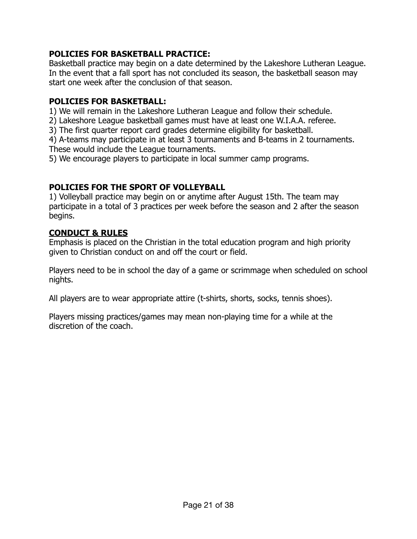# **POLICIES FOR BASKETBALL PRACTICE:**

Basketball practice may begin on a date determined by the Lakeshore Lutheran League. In the event that a fall sport has not concluded its season, the basketball season may start one week after the conclusion of that season.

# **POLICIES FOR BASKETBALL:**

1) We will remain in the Lakeshore Lutheran League and follow their schedule.

2) Lakeshore League basketball games must have at least one W.I.A.A. referee.

3) The first quarter report card grades determine eligibility for basketball.

4) A-teams may participate in at least 3 tournaments and B-teams in 2 tournaments. These would include the League tournaments.

5) We encourage players to participate in local summer camp programs.

# **POLICIES FOR THE SPORT OF VOLLEYBALL**

1) Volleyball practice may begin on or anytime after August 15th. The team may participate in a total of 3 practices per week before the season and 2 after the season begins.

# **CONDUCT & RULES**

Emphasis is placed on the Christian in the total education program and high priority given to Christian conduct on and off the court or field.

Players need to be in school the day of a game or scrimmage when scheduled on school nights.

All players are to wear appropriate attire (t-shirts, shorts, socks, tennis shoes).

Players missing practices/games may mean non-playing time for a while at the discretion of the coach.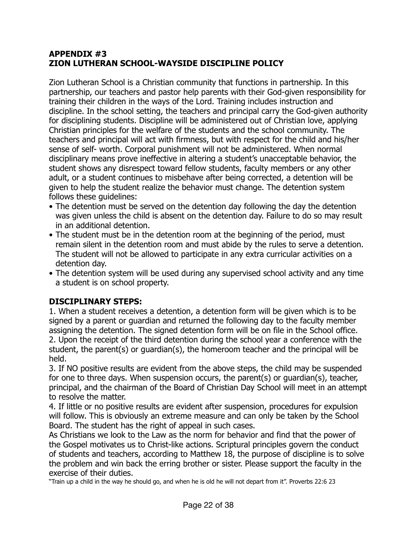# **APPENDIX #3 ZION LUTHERAN SCHOOL-WAYSIDE DISCIPLINE POLICY**

Zion Lutheran School is a Christian community that functions in partnership. In this partnership, our teachers and pastor help parents with their God-given responsibility for training their children in the ways of the Lord. Training includes instruction and discipline. In the school setting, the teachers and principal carry the God-given authority for disciplining students. Discipline will be administered out of Christian love, applying Christian principles for the welfare of the students and the school community. The teachers and principal will act with firmness, but with respect for the child and his/her sense of self- worth. Corporal punishment will not be administered. When normal disciplinary means prove ineffective in altering a student's unacceptable behavior, the student shows any disrespect toward fellow students, faculty members or any other adult, or a student continues to misbehave after being corrected, a detention will be given to help the student realize the behavior must change. The detention system follows these guidelines:

- The detention must be served on the detention day following the day the detention was given unless the child is absent on the detention day. Failure to do so may result in an additional detention.
- The student must be in the detention room at the beginning of the period, must remain silent in the detention room and must abide by the rules to serve a detention. The student will not be allowed to participate in any extra curricular activities on a detention day.
- The detention system will be used during any supervised school activity and any time a student is on school property.

# **DISCIPLINARY STEPS:**

1. When a student receives a detention, a detention form will be given which is to be signed by a parent or guardian and returned the following day to the faculty member assigning the detention. The signed detention form will be on file in the School office. 2. Upon the receipt of the third detention during the school year a conference with the student, the parent(s) or guardian(s), the homeroom teacher and the principal will be held.

3. If NO positive results are evident from the above steps, the child may be suspended for one to three days. When suspension occurs, the parent(s) or guardian(s), teacher, principal, and the chairman of the Board of Christian Day School will meet in an attempt to resolve the matter.

4. If little or no positive results are evident after suspension, procedures for expulsion will follow. This is obviously an extreme measure and can only be taken by the School Board. The student has the right of appeal in such cases.

As Christians we look to the Law as the norm for behavior and find that the power of the Gospel motivates us to Christ-like actions. Scriptural principles govern the conduct of students and teachers, according to Matthew 18, the purpose of discipline is to solve the problem and win back the erring brother or sister. Please support the faculty in the exercise of their duties.

"Train up a child in the way he should go, and when he is old he will not depart from it". Proverbs 22:6 23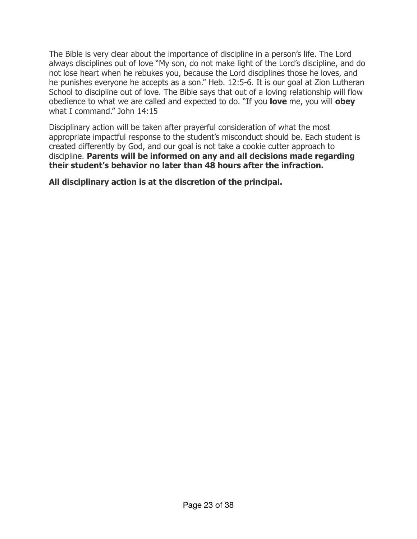The Bible is very clear about the importance of discipline in a person's life. The Lord always disciplines out of love "My son, do not make light of the Lord's discipline, and do not lose heart when he rebukes you, because the Lord disciplines those he loves, and he punishes everyone he accepts as a son." Heb. 12:5-6. It is our goal at Zion Lutheran School to discipline out of love. The Bible says that out of a loving relationship will flow obedience to what we are called and expected to do. "If you **love** me, you will **obey**  what I command." John 14:15

Disciplinary action will be taken after prayerful consideration of what the most appropriate impactful response to the student's misconduct should be. Each student is created differently by God, and our goal is not take a cookie cutter approach to discipline. **Parents will be informed on any and all decisions made regarding their student's behavior no later than 48 hours after the infraction.**

**All disciplinary action is at the discretion of the principal.**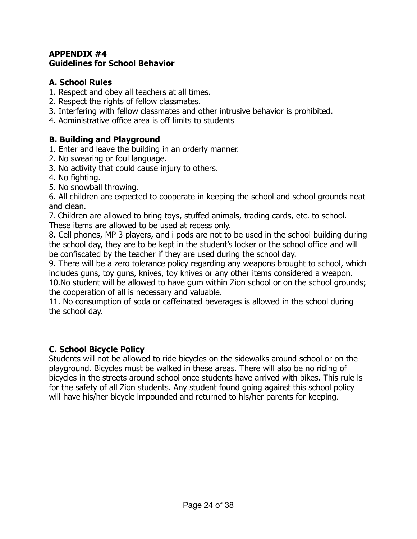# **APPENDIX #4 Guidelines for School Behavior**

# **A. School Rules**

- 1. Respect and obey all teachers at all times.
- 2. Respect the rights of fellow classmates.
- 3. Interfering with fellow classmates and other intrusive behavior is prohibited.
- 4. Administrative office area is off limits to students

# **B. Building and Playground**

- 1. Enter and leave the building in an orderly manner.
- 2. No swearing or foul language.
- 3. No activity that could cause injury to others.
- 4. No fighting.
- 5. No snowball throwing.

6. All children are expected to cooperate in keeping the school and school grounds neat and clean.

7. Children are allowed to bring toys, stuffed animals, trading cards, etc. to school. These items are allowed to be used at recess only.

8. Cell phones, MP 3 players, and i pods are not to be used in the school building during the school day, they are to be kept in the student's locker or the school office and will be confiscated by the teacher if they are used during the school day.

9. There will be a zero tolerance policy regarding any weapons brought to school, which includes guns, toy guns, knives, toy knives or any other items considered a weapon. 10.No student will be allowed to have gum within Zion school or on the school grounds; the cooperation of all is necessary and valuable.

11. No consumption of soda or caffeinated beverages is allowed in the school during the school day.

# **C. School Bicycle Policy**

Students will not be allowed to ride bicycles on the sidewalks around school or on the playground. Bicycles must be walked in these areas. There will also be no riding of bicycles in the streets around school once students have arrived with bikes. This rule is for the safety of all Zion students. Any student found going against this school policy will have his/her bicycle impounded and returned to his/her parents for keeping.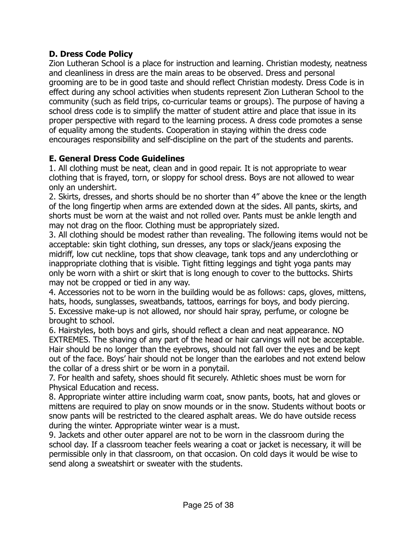# **D. Dress Code Policy**

Zion Lutheran School is a place for instruction and learning. Christian modesty, neatness and cleanliness in dress are the main areas to be observed. Dress and personal grooming are to be in good taste and should reflect Christian modesty. Dress Code is in effect during any school activities when students represent Zion Lutheran School to the community (such as field trips, co-curricular teams or groups). The purpose of having a school dress code is to simplify the matter of student attire and place that issue in its proper perspective with regard to the learning process. A dress code promotes a sense of equality among the students. Cooperation in staying within the dress code encourages responsibility and self-discipline on the part of the students and parents.

# **E. General Dress Code Guidelines**

1. All clothing must be neat, clean and in good repair. It is not appropriate to wear clothing that is frayed, torn, or sloppy for school dress. Boys are not allowed to wear only an undershirt.

2. Skirts, dresses, and shorts should be no shorter than 4" above the knee or the length of the long fingertip when arms are extended down at the sides. All pants, skirts, and shorts must be worn at the waist and not rolled over. Pants must be ankle length and may not drag on the floor. Clothing must be appropriately sized.

3. All clothing should be modest rather than revealing. The following items would not be acceptable: skin tight clothing, sun dresses, any tops or slack/jeans exposing the midriff, low cut neckline, tops that show cleavage, tank tops and any underclothing or inappropriate clothing that is visible. Tight fitting leggings and tight yoga pants may only be worn with a shirt or skirt that is long enough to cover to the buttocks. Shirts may not be cropped or tied in any way.

4. Accessories not to be worn in the building would be as follows: caps, gloves, mittens, hats, hoods, sunglasses, sweatbands, tattoos, earrings for boys, and body piercing. 5. Excessive make-up is not allowed, nor should hair spray, perfume, or cologne be brought to school.

6. Hairstyles, both boys and girls, should reflect a clean and neat appearance. NO EXTREMES. The shaving of any part of the head or hair carvings will not be acceptable. Hair should be no longer than the eyebrows, should not fall over the eyes and be kept out of the face. Boys' hair should not be longer than the earlobes and not extend below the collar of a dress shirt or be worn in a ponytail.

7. For health and safety, shoes should fit securely. Athletic shoes must be worn for Physical Education and recess.

8. Appropriate winter attire including warm coat, snow pants, boots, hat and gloves or mittens are required to play on snow mounds or in the snow. Students without boots or snow pants will be restricted to the cleared asphalt areas. We do have outside recess during the winter. Appropriate winter wear is a must.

9. Jackets and other outer apparel are not to be worn in the classroom during the school day. If a classroom teacher feels wearing a coat or jacket is necessary, it will be permissible only in that classroom, on that occasion. On cold days it would be wise to send along a sweatshirt or sweater with the students.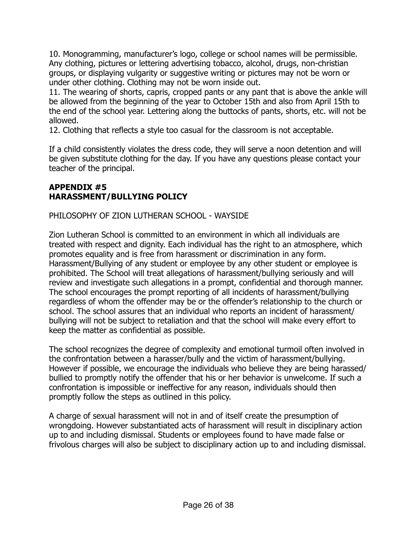10. Monogramming, manufacturer's logo, college or school names will be permissible. Any clothing, pictures or lettering advertising tobacco, alcohol, drugs, non-christian groups, or displaying vulgarity or suggestive writing or pictures may not be worn or under other clothing. Clothing may not be worn inside out.

11. The wearing of shorts, capris, cropped pants or any pant that is above the ankle will be allowed from the beginning of the year to October 15th and also from April 15th to the end of the school year. Lettering along the buttocks of pants, shorts, etc. will not be allowed.

12. Clothing that reflects a style too casual for the classroom is not acceptable.

If a child consistently violates the dress code, they will serve a noon detention and will be given substitute clothing for the day. If you have any questions please contact your teacher of the principal.

# **APPENDIX #5 HARASSMENT/BULLYING POLICY**

# PHILOSOPHY OF ZION LUTHERAN SCHOOL - WAYSIDE

Zion Lutheran School is committed to an environment in which all individuals are treated with respect and dignity. Each individual has the right to an atmosphere, which promotes equality and is free from harassment or discrimination in any form. Harassment/Bullying of any student or employee by any other student or employee is prohibited. The School will treat allegations of harassment/bullying seriously and will review and investigate such allegations in a prompt, confidential and thorough manner. The school encourages the prompt reporting of all incidents of harassment/bullying regardless of whom the offender may be or the offender's relationship to the church or school. The school assures that an individual who reports an incident of harassment/ bullying will not be subject to retaliation and that the school will make every effort to keep the matter as confidential as possible.

The school recognizes the degree of complexity and emotional turmoil often involved in the confrontation between a harasser/bully and the victim of harassment/bullying. However if possible, we encourage the individuals who believe they are being harassed/ bullied to promptly notify the offender that his or her behavior is unwelcome. If such a confrontation is impossible or ineffective for any reason, individuals should then promptly follow the steps as outlined in this policy.

A charge of sexual harassment will not in and of itself create the presumption of wrongdoing. However substantiated acts of harassment will result in disciplinary action up to and including dismissal. Students or employees found to have made false or frivolous charges will also be subject to disciplinary action up to and including dismissal.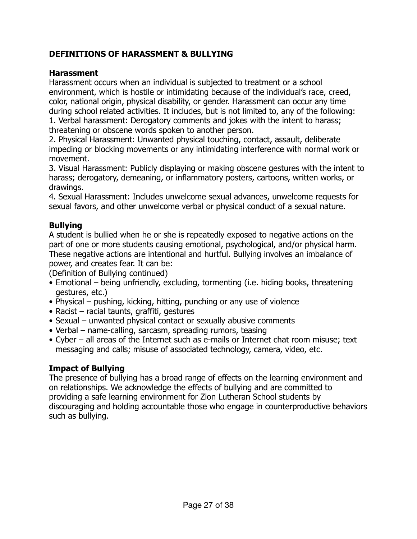# **DEFINITIONS OF HARASSMENT & BULLYING**

# **Harassment**

Harassment occurs when an individual is subjected to treatment or a school environment, which is hostile or intimidating because of the individual's race, creed, color, national origin, physical disability, or gender. Harassment can occur any time during school related activities. It includes, but is not limited to, any of the following:

1. Verbal harassment: Derogatory comments and jokes with the intent to harass; threatening or obscene words spoken to another person.

2. Physical Harassment: Unwanted physical touching, contact, assault, deliberate impeding or blocking movements or any intimidating interference with normal work or movement.

3. Visual Harassment: Publicly displaying or making obscene gestures with the intent to harass; derogatory, demeaning, or inflammatory posters, cartoons, written works, or drawings.

4. Sexual Harassment: Includes unwelcome sexual advances, unwelcome requests for sexual favors, and other unwelcome verbal or physical conduct of a sexual nature.

# **Bullying**

A student is bullied when he or she is repeatedly exposed to negative actions on the part of one or more students causing emotional, psychological, and/or physical harm. These negative actions are intentional and hurtful. Bullying involves an imbalance of power, and creates fear. It can be:

(Definition of Bullying continued)

- Emotional being unfriendly, excluding, tormenting (i.e. hiding books, threatening gestures, etc.)
- Physical pushing, kicking, hitting, punching or any use of violence
- Racist racial taunts, graffiti, gestures
- Sexual unwanted physical contact or sexually abusive comments
- Verbal name-calling, sarcasm, spreading rumors, teasing
- Cyber all areas of the Internet such as e-mails or Internet chat room misuse; text messaging and calls; misuse of associated technology, camera, video, etc.

# **Impact of Bullying**

The presence of bullying has a broad range of effects on the learning environment and on relationships. We acknowledge the effects of bullying and are committed to providing a safe learning environment for Zion Lutheran School students by discouraging and holding accountable those who engage in counterproductive behaviors such as bullying.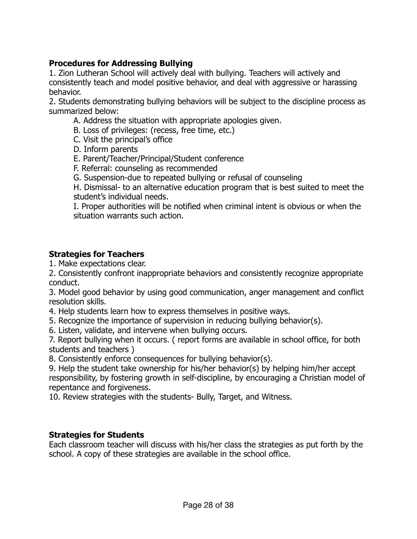# **Procedures for Addressing Bullying**

1. Zion Lutheran School will actively deal with bullying. Teachers will actively and consistently teach and model positive behavior, and deal with aggressive or harassing behavior.

2. Students demonstrating bullying behaviors will be subject to the discipline process as summarized below:

- A. Address the situation with appropriate apologies given.
- B. Loss of privileges: (recess, free time, etc.)
- C. Visit the principal's office
- D. Inform parents
- E. Parent/Teacher/Principal/Student conference
- F. Referral: counseling as recommended
- G. Suspension-due to repeated bullying or refusal of counseling

H. Dismissal- to an alternative education program that is best suited to meet the student's individual needs.

I. Proper authorities will be notified when criminal intent is obvious or when the situation warrants such action.

# **Strategies for Teachers**

1. Make expectations clear.

2. Consistently confront inappropriate behaviors and consistently recognize appropriate conduct.

3. Model good behavior by using good communication, anger management and conflict resolution skills.

- 4. Help students learn how to express themselves in positive ways.
- 5. Recognize the importance of supervision in reducing bullying behavior(s).
- 6. Listen, validate, and intervene when bullying occurs.

7. Report bullying when it occurs. ( report forms are available in school office, for both students and teachers )

8. Consistently enforce consequences for bullying behavior(s).

9. Help the student take ownership for his/her behavior(s) by helping him/her accept responsibility, by fostering growth in self-discipline, by encouraging a Christian model of repentance and forgiveness.

10. Review strategies with the students- Bully, Target, and Witness.

# **Strategies for Students**

Each classroom teacher will discuss with his/her class the strategies as put forth by the school. A copy of these strategies are available in the school office.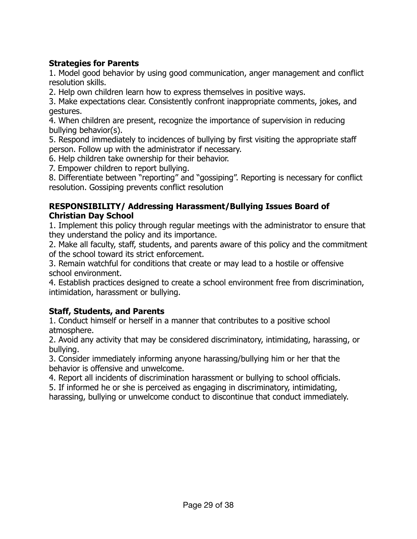# **Strategies for Parents**

1. Model good behavior by using good communication, anger management and conflict resolution skills.

2. Help own children learn how to express themselves in positive ways.

3. Make expectations clear. Consistently confront inappropriate comments, jokes, and gestures.

4. When children are present, recognize the importance of supervision in reducing bullying behavior(s).

5. Respond immediately to incidences of bullying by first visiting the appropriate staff person. Follow up with the administrator if necessary.

6. Help children take ownership for their behavior.

7. Empower children to report bullying.

8. Differentiate between "reporting" and "gossiping". Reporting is necessary for conflict resolution. Gossiping prevents conflict resolution

# **RESPONSIBILITY/ Addressing Harassment/Bullying Issues Board of Christian Day School**

1. Implement this policy through regular meetings with the administrator to ensure that they understand the policy and its importance.

2. Make all faculty, staff, students, and parents aware of this policy and the commitment of the school toward its strict enforcement.

3. Remain watchful for conditions that create or may lead to a hostile or offensive school environment.

4. Establish practices designed to create a school environment free from discrimination, intimidation, harassment or bullying.

# **Staff, Students, and Parents**

1. Conduct himself or herself in a manner that contributes to a positive school atmosphere.

2. Avoid any activity that may be considered discriminatory, intimidating, harassing, or bullying.

3. Consider immediately informing anyone harassing/bullying him or her that the behavior is offensive and unwelcome.

4. Report all incidents of discrimination harassment or bullying to school officials.

5. If informed he or she is perceived as engaging in discriminatory, intimidating, harassing, bullying or unwelcome conduct to discontinue that conduct immediately.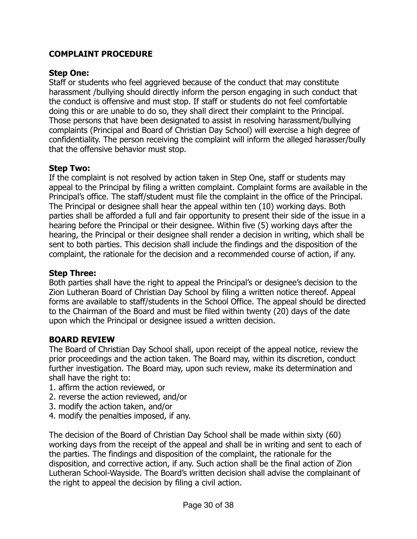# **COMPLAINT PROCEDURE**

# **Step One:**

Staff or students who feel aggrieved because of the conduct that may constitute harassment /bullying should directly inform the person engaging in such conduct that the conduct is offensive and must stop. If staff or students do not feel comfortable doing this or are unable to do so, they shall direct their complaint to the Principal. Those persons that have been designated to assist in resolving harassment/bullying complaints (Principal and Board of Christian Day School) will exercise a high degree of confidentiality. The person receiving the complaint will inform the alleged harasser/bully that the offensive behavior must stop.

# **Step Two:**

If the complaint is not resolved by action taken in Step One, staff or students may appeal to the Principal by filing a written complaint. Complaint forms are available in the Principal's office. The staff/student must file the complaint in the office of the Principal. The Principal or designee shall hear the appeal within ten (10) working days. Both parties shall be afforded a full and fair opportunity to present their side of the issue in a hearing before the Principal or their designee. Within five (5) working days after the hearing, the Principal or their designee shall render a decision in writing, which shall be sent to both parties. This decision shall include the findings and the disposition of the complaint, the rationale for the decision and a recommended course of action, if any.

# **Step Three:**

Both parties shall have the right to appeal the Principal's or designee's decision to the Zion Lutheran Board of Christian Day School by filing a written notice thereof. Appeal forms are available to staff/students in the School Office. The appeal should be directed to the Chairman of the Board and must be filed within twenty (20) days of the date upon which the Principal or designee issued a written decision.

# **BOARD REVIEW**

The Board of Christian Day School shall, upon receipt of the appeal notice, review the prior proceedings and the action taken. The Board may, within its discretion, conduct further investigation. The Board may, upon such review, make its determination and shall have the right to:

- 1. affirm the action reviewed, or
- 2. reverse the action reviewed, and/or
- 3. modify the action taken, and/or
- 4. modify the penalties imposed, if any.

The decision of the Board of Christian Day School shall be made within sixty (60) working days from the receipt of the appeal and shall be in writing and sent to each of the parties. The findings and disposition of the complaint, the rationale for the disposition, and corrective action, if any. Such action shall be the final action of Zion Lutheran School-Wayside. The Board's written decision shall advise the complainant of the right to appeal the decision by filing a civil action.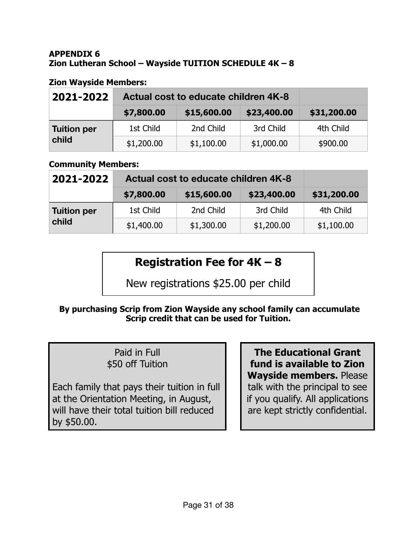# **APPENDIX 6 Zion Lutheran School – Wayside TUITION SCHEDULE 4K – 8**

# **Zion Wayside Members:**

| 2021-2022                   | Actual cost to educate children 4K-8 |             |             |             |
|-----------------------------|--------------------------------------|-------------|-------------|-------------|
|                             | \$7,800.00                           | \$15,600.00 | \$23,400.00 | \$31,200.00 |
| <b>Tuition per</b><br>child | 1st Child                            | 2nd Child   | 3rd Child   | 4th Child   |
|                             | \$1,200.00                           | \$1,100.00  | \$1,000.00  | \$900.00    |

# **Community Members:**

| 2021-2022                   | Actual cost to educate children 4K-8 |             |             |             |
|-----------------------------|--------------------------------------|-------------|-------------|-------------|
|                             | \$7,800.00                           | \$15,600.00 | \$23,400.00 | \$31,200.00 |
| <b>Tuition per</b><br>child | 1st Child                            | 2nd Child   | 3rd Child   | 4th Child   |
|                             | \$1,400.00                           | \$1,300.00  | \$1,200.00  | \$1,100.00  |

# **Registration Fee for 4K – 8**

New registrations \$25.00 per child

# **By purchasing Scrip from Zion Wayside any school family can accumulate Scrip credit that can be used for Tuition.**

# Paid in Full \$50 off Tuition

Each family that pays their tuition in full at the Orientation Meeting, in August, will have their total tuition bill reduced by \$50.00.

**The Educational Grant fund is available to Zion Wayside members.** Please talk with the principal to see if you qualify. All applications are kept strictly confidential.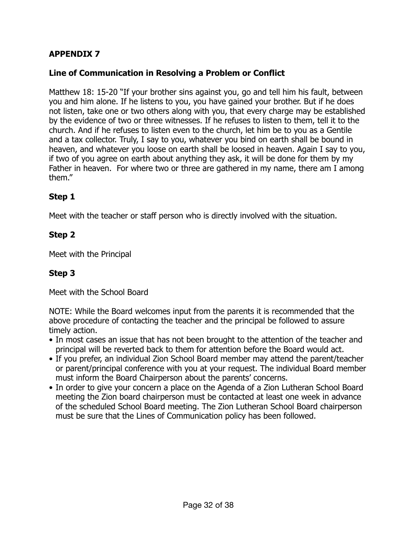# **APPENDIX 7**

# **Line of Communication in Resolving a Problem or Conflict**

Matthew 18: 15-20 "If your brother sins against you, go and tell him his fault, between you and him alone. If he listens to you, you have gained your brother. But if he does not listen, take one or two others along with you, that every charge may be established by the evidence of two or three witnesses. If he refuses to listen to them, tell it to the church. And if he refuses to listen even to the church, let him be to you as a Gentile and a tax collector. Truly, I say to you, whatever you bind on earth shall be bound in heaven, and whatever you loose on earth shall be loosed in heaven. Again I say to you, if two of you agree on earth about anything they ask, it will be done for them by my Father in heaven. For where two or three are gathered in my name, there am I among them."

# **Step 1**

Meet with the teacher or staff person who is directly involved with the situation.

# **Step 2**

Meet with the Principal

# **Step 3**

Meet with the School Board

NOTE: While the Board welcomes input from the parents it is recommended that the above procedure of contacting the teacher and the principal be followed to assure timely action.

- In most cases an issue that has not been brought to the attention of the teacher and principal will be reverted back to them for attention before the Board would act.
- If you prefer, an individual Zion School Board member may attend the parent/teacher or parent/principal conference with you at your request. The individual Board member must inform the Board Chairperson about the parents' concerns.
- In order to give your concern a place on the Agenda of a Zion Lutheran School Board meeting the Zion board chairperson must be contacted at least one week in advance of the scheduled School Board meeting. The Zion Lutheran School Board chairperson must be sure that the Lines of Communication policy has been followed.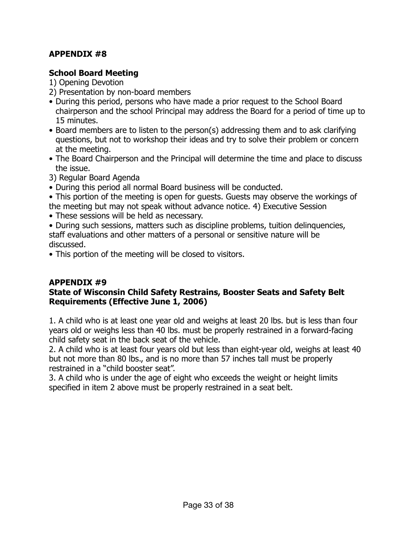# **APPENDIX #8**

# **School Board Meeting**

1) Opening Devotion

- 2) Presentation by non-board members
- During this period, persons who have made a prior request to the School Board chairperson and the school Principal may address the Board for a period of time up to 15 minutes.
- Board members are to listen to the person(s) addressing them and to ask clarifying questions, but not to workshop their ideas and try to solve their problem or concern at the meeting.
- The Board Chairperson and the Principal will determine the time and place to discuss the issue.
- 3) Regular Board Agenda
- During this period all normal Board business will be conducted.
- This portion of the meeting is open for guests. Guests may observe the workings of the meeting but may not speak without advance notice. 4) Executive Session
- These sessions will be held as necessary.
- During such sessions, matters such as discipline problems, tuition delinquencies, staff evaluations and other matters of a personal or sensitive nature will be discussed.

• This portion of the meeting will be closed to visitors.

# **APPENDIX #9**

# **State of Wisconsin Child Safety Restrains, Booster Seats and Safety Belt Requirements (Effective June 1, 2006)**

1. A child who is at least one year old and weighs at least 20 lbs. but is less than four years old or weighs less than 40 lbs. must be properly restrained in a forward-facing child safety seat in the back seat of the vehicle.

2. A child who is at least four years old but less than eight-year old, weighs at least 40 but not more than 80 lbs., and is no more than 57 inches tall must be properly restrained in a "child booster seat".

3. A child who is under the age of eight who exceeds the weight or height limits specified in item 2 above must be properly restrained in a seat belt.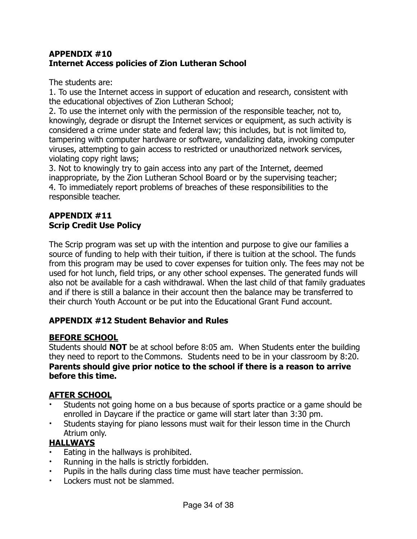# **APPENDIX #10 Internet Access policies of Zion Lutheran School**

The students are:

1. To use the Internet access in support of education and research, consistent with the educational objectives of Zion Lutheran School;

2. To use the internet only with the permission of the responsible teacher, not to, knowingly, degrade or disrupt the Internet services or equipment, as such activity is considered a crime under state and federal law; this includes, but is not limited to, tampering with computer hardware or software, vandalizing data, invoking computer viruses, attempting to gain access to restricted or unauthorized network services, violating copy right laws;

3. Not to knowingly try to gain access into any part of the Internet, deemed inappropriate, by the Zion Lutheran School Board or by the supervising teacher; 4. To immediately report problems of breaches of these responsibilities to the responsible teacher.

# **APPENDIX #11 Scrip Credit Use Policy**

The Scrip program was set up with the intention and purpose to give our families a source of funding to help with their tuition, if there is tuition at the school. The funds from this program may be used to cover expenses for tuition only. The fees may not be used for hot lunch, field trips, or any other school expenses. The generated funds will also not be available for a cash withdrawal. When the last child of that family graduates and if there is still a balance in their account then the balance may be transferred to their church Youth Account or be put into the Educational Grant Fund account.

# **APPENDIX #12 Student Behavior and Rules**

# **BEFORE SCHOOL**

Students should **NOT** be at school before 8:05 am. When Students enter the building they need to report to the Commons. Students need to be in your classroom by 8:20. **Parents should give prior notice to the school if there is a reason to arrive before this time.**

# **AFTER SCHOOL**

- Students not going home on a bus because of sports practice or a game should be enrolled in Daycare if the practice or game will start later than 3:30 pm.
- Students staying for piano lessons must wait for their lesson time in the Church Atrium only.

# **HALLWAYS**

- Eating in the hallways is prohibited.
- Running in the halls is strictly forbidden.
- Pupils in the halls during class time must have teacher permission.
- Lockers must not be slammed.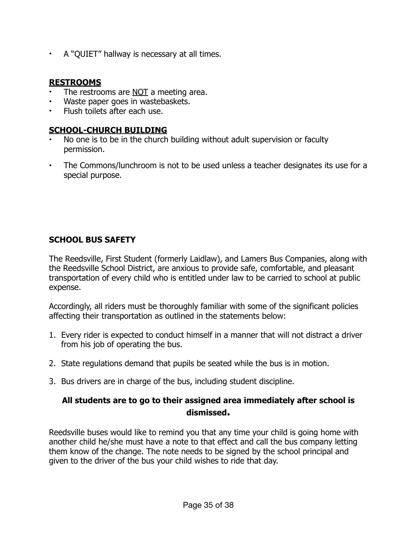• A "QUIET" hallway is necessary at all times.

# **RESTROOMS**

- The restrooms are NOT a meeting area.
- Waste paper goes in wastebaskets.
- Flush toilets after each use.

# **SCHOOL-CHURCH BUILDING**

- No one is to be in the church building without adult supervision or faculty permission.
- The Commons/lunchroom is not to be used unless a teacher designates its use for a special purpose.

# **SCHOOL BUS SAFETY**

The Reedsville, First Student (formerly Laidlaw), and Lamers Bus Companies, along with the Reedsville School District, are anxious to provide safe, comfortable, and pleasant transportation of every child who is entitled under law to be carried to school at public expense.

Accordingly, all riders must be thoroughly familiar with some of the significant policies affecting their transportation as outlined in the statements below:

- 1. Every rider is expected to conduct himself in a manner that will not distract a driver from his job of operating the bus.
- 2. State regulations demand that pupils be seated while the bus is in motion.
- 3. Bus drivers are in charge of the bus, including student discipline.

# **All students are to go to their assigned area immediately after school is dismissed.**

Reedsville buses would like to remind you that any time your child is going home with another child he/she must have a note to that effect and call the bus company letting them know of the change. The note needs to be signed by the school principal and given to the driver of the bus your child wishes to ride that day.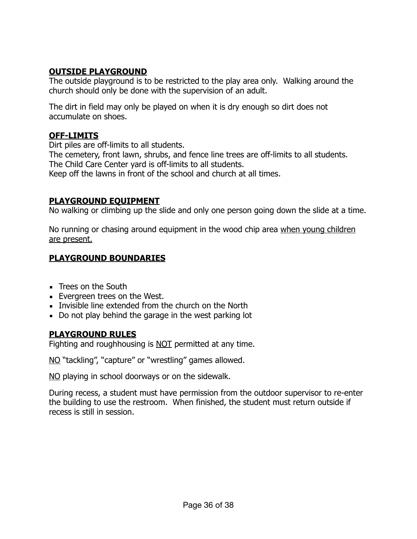# **OUTSIDE PLAYGROUND**

The outside playground is to be restricted to the play area only. Walking around the church should only be done with the supervision of an adult.

The dirt in field may only be played on when it is dry enough so dirt does not accumulate on shoes.

# **OFF-LIMITS**

Dirt piles are off-limits to all students.

The cemetery, front lawn, shrubs, and fence line trees are off-limits to all students. The Child Care Center yard is off-limits to all students. Keep off the lawns in front of the school and church at all times.

# **PLAYGROUND EQUIPMENT**

No walking or climbing up the slide and only one person going down the slide at a time.

No running or chasing around equipment in the wood chip area when young children are present.

# **PLAYGROUND BOUNDARIES**

- **EXEC** Trees on the South
- **Evergreen trees on the West.**
- **EXECT** Invisible line extended from the church on the North
- Do not play behind the garage in the west parking lot

# **PLAYGROUND RULES**

Fighting and roughhousing is NOT permitted at any time.

NO "tackling", "capture" or "wrestling" games allowed.

NO playing in school doorways or on the sidewalk.

During recess, a student must have permission from the outdoor supervisor to re-enter the building to use the restroom. When finished, the student must return outside if recess is still in session.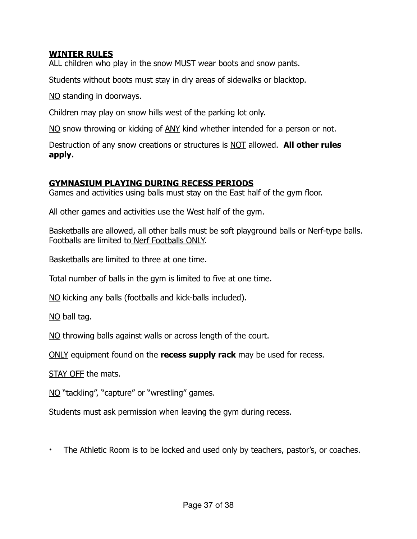# **WINTER RULES**

ALL children who play in the snow MUST wear boots and snow pants.

Students without boots must stay in dry areas of sidewalks or blacktop.

NO standing in doorways.

Children may play on snow hills west of the parking lot only.

NO snow throwing or kicking of ANY kind whether intended for a person or not.

Destruction of any snow creations or structures is NOT allowed. **All other rules apply.**

#### **GYMNASIUM PLAYING DURING RECESS PERIODS**

Games and activities using balls must stay on the East half of the gym floor.

All other games and activities use the West half of the gym.

Basketballs are allowed, all other balls must be soft playground balls or Nerf-type balls. Footballs are limited to Nerf Footballs ONLY.

Basketballs are limited to three at one time.

Total number of balls in the gym is limited to five at one time.

NO kicking any balls (footballs and kick-balls included).

NO ball tag.

NO throwing balls against walls or across length of the court.

ONLY equipment found on the **recess supply rack** may be used for recess.

STAY OFF the mats.

NO "tackling", "capture" or "wrestling" games.

Students must ask permission when leaving the gym during recess.

• The Athletic Room is to be locked and used only by teachers, pastor's, or coaches.